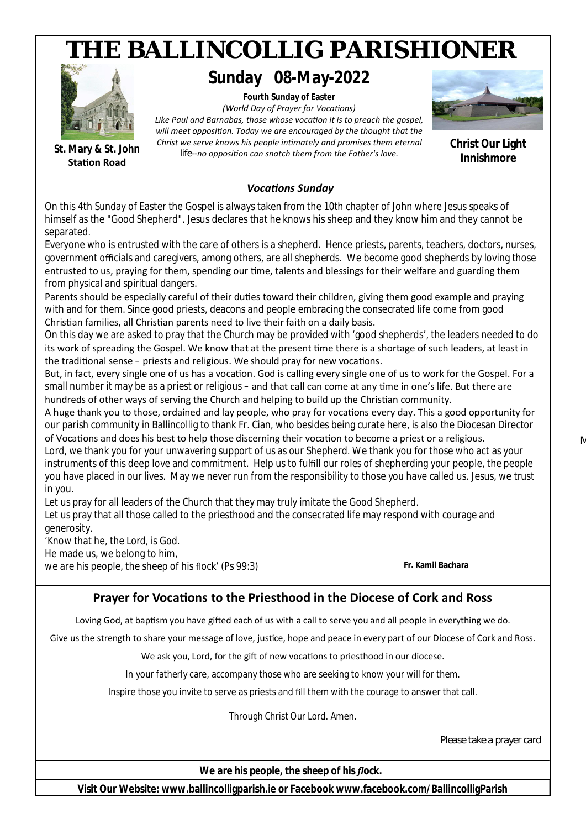## **Fourth Sunday of Easter** *(World Day of Prayer for VocaƟons)* Like Paul and Barnabas, those whose vocation it is to preach the gospel, will meet opposition. Today we are encouraged by the thought that the *Christ we serve knows his people inƟmately and promises them eternal life--no opposiƟon can snatch them from the Father's love. THE BALLINCOLLIG PARISHIONER VocaƟons Sunday* **Christ Our Light Innishmore St. Mary & St. John Station Road Sunday 08-May-2022** On this 4th Sunday of Easter the Gospel is always taken from the 10th chapter of John where Jesus speaks of himself as the "Good Shepherd". Jesus declares that he knows his sheep and they know him and they cannot be separated. Everyone who is entrusted with the care of others is a shepherd. Hence priests, parents, teachers, doctors, nurses, government officials and caregivers, among others, are all shepherds. We become good shepherds by loving those entrusted to us, praying for them, spending our time, talents and blessings for their welfare and guarding them from physical and spiritual dangers. Parents should be especially careful of their duties toward their children, giving them good example and praying with and for them. Since good priests, deacons and people embracing the consecrated life come from good Christian families, all Christian parents need to live their faith on a daily basis. On this day we are asked to pray that the Church may be provided with 'good shepherds', the leaders needed to do its work of spreading the Gospel. We know that at the present time there is a shortage of such leaders, at least in the traditional sense – priests and religious. We should pray for new vocations. But, in fact, every single one of us has a vocation. God is calling every single one of us to work for the Gospel. For a small number it may be as a priest or religious – and that call can come at any time in one's life. But there are hundreds of other ways of serving the Church and helping to build up the Christian community. A huge thank you to those, ordained and lay people, who pray for vocations every day. This a good opportunity for our parish community in Ballincollig to thank Fr. Cian, who besides being curate here, is also the Diocesan Director of Vocations and does his best to help those discerning their vocation to become a priest or a religious. Lord, we thank you for your unwavering support of us as our Shepherd. We thank you for those who act as your instruments of this deep love and commitment. Help us to fulfill our roles of shepherding your people, the people you have placed in our lives. May we never run from the responsibility to those you have called us. Jesus, we trust in you. Let us pray for all leaders of the Church that they may truly imitate the Good Shepherd. Let us pray that all those called to the priesthood and the consecrated life may respond with courage and generosity. 'Know that he, the Lord, is God. He made us, we belong to him, we are his people, the sheep of his flock' (Ps 99:3) *Fr. Kamil Bachara* **Prayer for Vocations to the Priesthood in the Diocese of Cork and Ross** Loving God, at baptism you have gifted each of us with a call to serve you and all people in everything we do. Give us the strength to share your message of love, justice, hope and peace in every part of our Diocese of Cork and Ross. We ask you, Lord, for the gift of new vocations to priesthood in our diocese. In your fatherly care, accompany those who are seeking to know your will for them.

Inspire those you invite to serve as priests and fill them with the courage to answer that call.

Through Christ Our Lord. Amen.

*Please take a prayer card*

 $\Lambda$ 

*We are his people, the sheep of his flock.*

**Visit Our Website: www.ballincolligparish.ie or Facebook www.facebook.com/BallincolligParish**